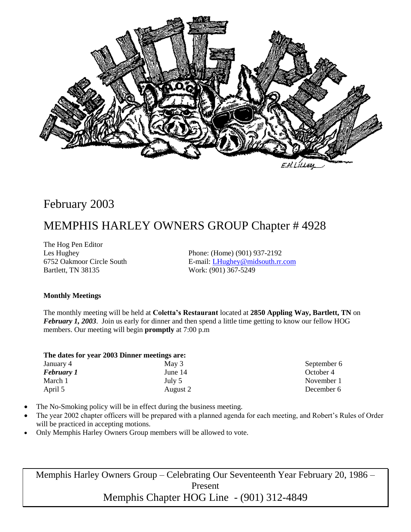

# February 2003

# MEMPHIS HARLEY OWNERS GROUP Chapter # 4928

The Hog Pen Editor Bartlett, TN 38135 Work: (901) 367-5249

Les Hughey Phone: (Home) (901) 937-2192 6752 Oakmoor Circle South E-mail: [LHughey@midsouth.rr.com](mailto:LHughey@midsouth.rr.com)

#### **Monthly Meetings**

The monthly meeting will be held at **Coletta's Restaurant** located at **2850 Appling Way, Bartlett, TN** on *February 1, 2003.* Join us early for dinner and then spend a little time getting to know our fellow HOG members. Our meeting will begin **promptly** at 7:00 p.m

|  |  |  |  |  |  | The dates for year 2003 Dinner meetings are: |  |
|--|--|--|--|--|--|----------------------------------------------|--|
|--|--|--|--|--|--|----------------------------------------------|--|

| January 4         | May 3    |
|-------------------|----------|
| <b>February 1</b> | June 14  |
| March 1           | July 5   |
| April 5           | August 2 |

September 6 October 4 November 1 December 6

- The No-Smoking policy will be in effect during the business meeting.
- The year 2002 chapter officers will be prepared with a planned agenda for each meeting, and Robert's Rules of Order will be practiced in accepting motions.
- Only Memphis Harley Owners Group members will be allowed to vote.

Memphis Harley Owners Group – Celebrating Our Seventeenth Year February 20, 1986 – Present Memphis Chapter HOG Line - (901) 312-4849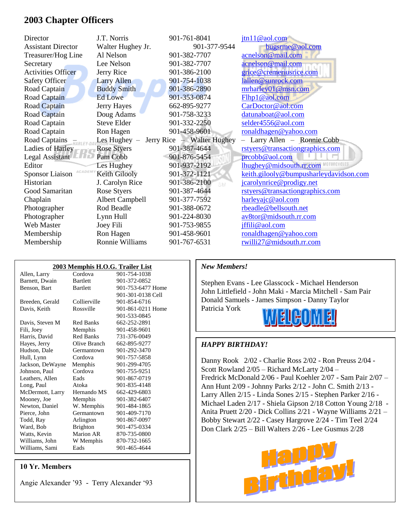### **2003 Chapter Officers**

| Director                  | J.T. Norris        | 901-761-8041               | $\frac{\int \ln(10,0) \cdot \ln(10,0)}{2}$ |
|---------------------------|--------------------|----------------------------|--------------------------------------------|
| <b>Assistant Director</b> | Walter Hughey Jr.  | 901-377-9544               | bugsrme@aol.com                            |
| Treasurer/Hog Line        | Al Nelson          | 901-382-7707               | acnelson@mail.com                          |
| Secretary                 | Lee Nelson         | 901-382-7707               | acnelson@mail.com                          |
| <b>Activities Officer</b> | Jerry Rice         | 901-386-2100               | grice@cremeriusrice.com                    |
| <b>Safety Officer</b>     | <b>Larry Allen</b> | 901-754-1038               | lallen@sunrock.com                         |
| Road Captain              | <b>Buddy Smith</b> | 901-386-2890               | mrharley01@msn.com                         |
| Road Captain              | <b>Ed Lowe</b>     | 901-353-0874               | Flhp1@aol.com                              |
| Road Captain              | Jerry Hayes        | 662-895-9277               | CarDoctor@aol.com                          |
| Road Captain              | Doug Adams         | 901-758-3233               | datunaboat@aol.com                         |
| Road Captain              | <b>Steve Elder</b> | 901-332-2250               | selder4556@aol.com                         |
| Road Captain              | Ron Hagen          | 901-458-9601               | ronaldhagen@yahoo.com                      |
| Road Captains             | Les Hughey $-$     | Jerry Rice – Walter Hughey | - Larry Allen - Ronnie Cobb                |
| Ladies of Harley          | <b>Rose Styers</b> | 901-387-4644               | rstyers@transactiongraphics.com            |
| Legal Assistant           | Pam Cobb           | 901-876-5454               | prcobb@aol.com                             |
| Editor                    | Les Hughey         | 901-937-2192               | lhughey@midsouth.rr.com                    |
| ACADEM<br>Sponsor Liaison | Keith Gilooly      | 901-372-1121               | keith.gilooly@bumpusharleydavidson.com     |
| Historian                 | J. Carolyn Rice    | 901-386-2100<br>SM         | jcarolynrice@prodigy.net                   |
| Good Samaritan            | Rose Styers        | 901-387-4644               | rstyers@transactiongraphics.com            |
| Chaplain                  | Albert Campbell    | 901-377-7592               | harleyajc@aol.com                          |
| Photographer              | Rod Beadle         | 901-388-0672               | rbeadle@bellsouth.net                      |
| Photographer              | Lynn Hull          | 901-224-8030               | av8tor@midsouth.rr.com                     |
| Web Master                | Joey Fili          | 901-753-9855               | jffili@aol.com                             |
| Membership                | Ron Hagen          | 901-458-9601               | ronaldhagen@yahoo.com                      |
| Membership                | Ronnie Williams    | 901-767-6531               | rwilli27@midsouth.rr.com                   |

| 2003 Memphis H.O.G. Trailer List |                  |                   |  |  |
|----------------------------------|------------------|-------------------|--|--|
| Allen, Larry                     | Cordova          | 901-754-1038      |  |  |
| Barnett, Dwain                   | <b>Bartlett</b>  | 901-372-0852      |  |  |
| Benson, Bart                     | <b>Bartlett</b>  | 901-753-6477 Home |  |  |
|                                  |                  | 901-301-0138 Cell |  |  |
| Breeden, Gerald                  | Collierville     | 901-854-6716      |  |  |
| Davis, Keith                     | Rossville        | 901-861-0211 Home |  |  |
|                                  |                  | 901-533-0845      |  |  |
| Davis, Steven M                  | <b>Red Banks</b> | 662-252-2891      |  |  |
| Fili, Joey                       | Memphis          | 901-458-9601      |  |  |
| Harris, David                    | <b>Red Banks</b> | 731-376-0049      |  |  |
| Hayes, Jerry                     | Olive Branch     | 662-895-9277      |  |  |
| Hudson, Dale                     | Germantown       | 901-292-3470      |  |  |
| Hull, Lynn                       | Cordova          | 901-757-5858      |  |  |
| Jackson, DeWayne                 | Memphis          | 901-299-4705      |  |  |
| Johnson, Paul                    | Cordova          | 901-755-9251      |  |  |
| Leathers, Allen                  | Eads             | 901-867-0719      |  |  |
| Long, Paul                       | Atoka            | 901-835-4148      |  |  |
| McDermott, Larry                 | Hernando MS      | 662-429-6803      |  |  |
| Mooney, Joe                      | Memphis          | 901-382-6407      |  |  |
| Newton, Daniel                   | W. Memphis       | 901-484-1865      |  |  |
| Pierce, John                     | Germantown       | 901-409-7170      |  |  |
| Todd, Ray                        | Arlington        | 901-867-0097      |  |  |
| Ward, Bob                        | <b>Brighton</b>  | 901-475-0334      |  |  |
| Watts, Kevin                     | Marion AR        | 870-735-0800      |  |  |
| Williams, John                   | W Memphis        | 870-732-1665      |  |  |
| Williams, Sami                   | Eads             | 901-465-4644      |  |  |

#### **10 Yr. Members**

Angie Alexander '93 - Terry Alexander '93

#### *New Members!*

Stephen Evans - Lee Glasscock - Michael Henderson John Littlefield - John Maki - Marcia Mitchell - Sam Pair Donald Samuels - James Simpson - Danny Taylor Patricia York



#### *HAPPY BIRTHDAY!*

Danny Rook 2/02 - Charlie Ross 2/02 - Ron Preuss 2/04 - Scott Rowland 2/05 – Richard McLarty 2/04 – Fredrick McDonald 2/06 - Paul Koehler 2/07 - Sam Pair 2/07 – Ann Hunt 2/09 - Johnny Parks 2/12 - John C. Smith 2/13 - Larry Allen 2/15 - Linda Sones 2/15 - Stephen Parker 2/16 - Michael Laden 2/17 - Shiela Gipson 2/18 Cotton Young 2/18 - Anita Pruett 2/20 - Dick Collins 2/21 - Wayne Williams 2/21 – Bobby Stewart 2/22 - Casey Hargrove 2/24 - Tim Teel 2/24 Don Clark 2/25 – Bill Walters 2/26 - Lee Gusmus 2/28

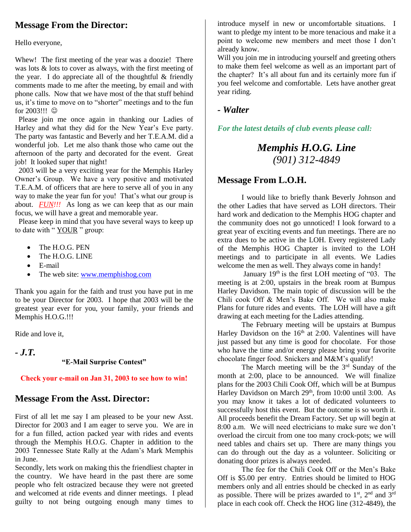# **Message From the Director:**

Hello everyone,

Whew! The first meeting of the year was a doozie! There was lots & lots to cover as always, with the first meeting of the year. I do appreciate all of the thoughtful  $&$  friendly comments made to me after the meeting, by email and with phone calls. Now that we have most of the that stuff behind us, it's time to move on to "shorter" meetings and to the fun for  $2003$ !!!  $\odot$ 

Please join me once again in thanking our Ladies of Harley and what they did for the New Year's Eve party. The party was fantastic and Beverly and her T.E.A.M. did a wonderful job. Let me also thank those who came out the afternoon of the party and decorated for the event. Great job! It looked super that night!

 2003 will be a very exciting year for the Memphis Harley Owner's Group. We have a very positive and motivated T.E.A.M. of officers that are here to serve all of you in any way to make the year fun for you! That's what our group is about. *FUN!!!* As long as we can keep that as our main focus, we will have a great and memorable year.

 Please keep in mind that you have several ways to keep up to date with " YOUR " group:

- The H.O.G. PEN
- The H.O.G. LINE
- E-mail
- The web site: [www.memphishog.com](http://www.memphishog.com/)

Thank you again for the faith and trust you have put in me to be your Director for 2003. I hope that 2003 will be the greatest year ever for you, your family, your friends and Memphis H.O.G.!!!

Ride and love it,

*- J.T.* 

#### **"E-Mail Surprise Contest"**

#### **Check your e-mail on Jan 31, 2003 to see how to win!**

### **Message From the Asst. Director:**

First of all let me say I am pleased to be your new Asst. Director for 2003 and I am eager to serve you. We are in for a fun filled, action packed year with rides and events through the Memphis H.O.G. Chapter in addition to the 2003 Tennessee State Rally at the Adam's Mark Memphis in June.

Secondly, lets work on making this the friendliest chapter in the country. We have heard in the past there are some people who felt ostracized because they were not greeted and welcomed at ride events and dinner meetings. I plead guilty to not being outgoing enough many times to

introduce myself in new or uncomfortable situations. I want to pledge my intent to be more tenacious and make it a point to welcome new members and meet those I don't already know.

Will you join me in introducing yourself and greeting others to make them feel welcome as well as an important part of the chapter? It's all about fun and its certainly more fun if you feel welcome and comfortable. Lets have another great year riding.

#### *- Walter*

*For the latest details of club events please call:*

# *Memphis H.O.G. Line (901) 312-4849*

### **Message From L.O.H.**

I would like to briefly thank Beverly Johnson and the other Ladies that have served as LOH directors. Their hard work and dedication to the Memphis HOG chapter and the community does not go unnoticed! I look forward to a great year of exciting events and fun meetings. There are no extra dues to be active in the LOH. Every registered Lady of the Memphis HOG Chapter is invited to the LOH meetings and to participate in all events. We Ladies welcome the men as well. They always come in handy!

January 19<sup>th</sup> is the first LOH meeting of "03. The meeting is at 2:00, upstairs in the break room at Bumpus Harley Davidson. The main topic of discussion will be the Chili cook Off & Men's Bake Off. We will also make Plans for future rides and events. The LOH will have a gift drawing at each meeting for the Ladies attending.

The February meeting will be upstairs at Bumpus Harley Davidson on the  $16<sup>th</sup>$  at 2:00. Valentines will have just passed but any time is good for chocolate. For those who have the time and/or energy please bring your favorite chocolate finger food. Snickers and M&M's qualify!

The March meeting will be the  $3<sup>rd</sup>$  Sunday of the month at 2:00, place to be announced. We will finalize plans for the 2003 Chili Cook Off, which will be at Bumpus Harley Davidson on March 29<sup>th</sup>, from 10:00 until 3:00. As you may know it takes a lot of dedicated volunteers to successfully host this event. But the outcome is so worth it. All proceeds benefit the Dream Factory. Set up will begin at 8:00 a.m. We will need electricians to make sure we don't overload the circuit from one too many crock-pots; we will need tables and chairs set up. There are many things you can do through out the day as a volunteer. Soliciting or donating door prizes is always needed.

The fee for the Chili Cook Off or the Men's Bake Off is \$5.00 per entry. Entries should be limited to HOG members only and all entries should be checked in as early as possible. There will be prizes awarded to  $1<sup>st</sup>$ ,  $2<sup>nd</sup>$  and  $3<sup>rd</sup>$ place in each cook off. Check the HOG line (312-4849), the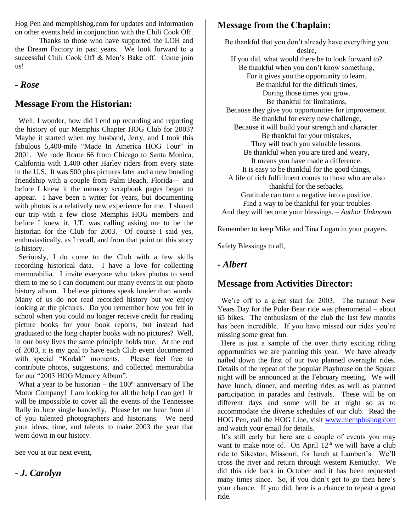Hog Pen and memphishog.com for updates and information on other events held in conjunction with the Chili Cook Off.

Thanks to those who have supported the LOH and the Dream Factory in past years. We look forward to a successful Chili Cook Off & Men's Bake off. Come join us!

#### *- Rose*

### **Message From the Historian:**

 Well, I wonder, how did I end up recording and reporting the history of our Memphis Chapter HOG Club for 2003? Maybe it started when my husband, Jerry, and I took this fabulous 5,400-mile "Made In America HOG Tour" in 2001. We rode Route 66 from Chicago to Santa Monica, California with 1,400 other Harley riders from every state in the U.S. It was 500 plus pictures later and a new bonding friendship with a couple from Palm Beach, Florida— and before I knew it the memory scrapbook pages began to appear. I have been a writer for years, but documenting with photos is a relatively new experience for me. I shared our trip with a few close Memphis HOG members and before I knew it, J.T. was calling asking me to be the historian for the Club for 2003. Of course I said yes, enthusiastically, as I recall, and from that point on this story is history.

 Seriously, I do come to the Club with a few skills recording historical data. I have a love for collecting memorabilia. I invite everyone who takes photos to send them to me so I can document our many events in our photo history album. I believe pictures speak louder than words. Many of us do not read recorded history but we enjoy looking at the pictures. Do you remember how you felt in school when you could no longer receive credit for reading picture books for your book reports, but instead had graduated to the long chapter books with no pictures? Well, in our busy lives the same principle holds true. At the end of 2003, it is my goal to have each Club event documented with special "Kodak" moments. Please feel free to contribute photos, suggestions, and collected memorabilia for our "2003 HOG Memory Album".

What a year to be historian – the  $100<sup>th</sup>$  anniversary of The Motor Company! I am looking for all the help I can get! It will be impossible to cover all the events of the Tennessee Rally in June single handedly. Please let me hear from all of you talented photographers and historians. We need your ideas, time, and talents to make 2003 the year that went down in our history.

See you at our next event,

*- J. Carolyn*

# **Message from the Chaplain:**

Be thankful that you don't already have everything you desire, If you did, what would there be to look forward to? Be thankful when you don't know something, For it gives you the opportunity to learn. Be thankful for the difficult times, During those times you grow. Be thankful for limitations, Because they give you opportunities for improvement. Be thankful for every new challenge, Because it will build your strength and character. Be thankful for your mistakes, They will teach you valuable lessons. Be thankful when you are tired and weary, It means you have made a difference. It is easy to be thankful for the good things, A life of rich fulfillment comes to those who are also thankful for the setbacks. Gratitude can turn a negative into a positive. Find a way to be thankful for your troubles And they will become your blessings. – *Author Unknown*

Remember to keep Mike and Tina Logan in your prayers.

Safety Blessings to all,

#### *- Albert*

### **Message from Activities Director:**

 We're off to a great start for 2003. The turnout New Years Day for the Polar Bear ride was phenomenal – about 65 bikes. The enthusiasm of the club the last few months has been incredible. If you have missed our rides you're missing some great fun.

 Here is just a sample of the over thirty exciting riding opportunities we are planning this year. We have already nailed down the first of our two planned overnight rides. Details of the repeat of the popular Playhouse on the Square night will be announced at the February meeting. We will have lunch, dinner, and meeting rides as well as planned participation in parades and festivals. These will be on different days and some will be at night so as to accommodate the diverse schedules of our club. Read the HOG Pen, call the HOG Line, visit [www.memphishog.com](http://www.memphishog.com/) and watch your email for details.

 It's still early but here are a couple of events you may want to make note of. On April  $12<sup>th</sup>$  we will have a club ride to Sikeston, Missouri, for lunch at Lambert's. We'll cross the river and return through western Kentucky. We did this ride back in October and it has been requested many times since. So, if you didn't get to go then here's your chance. If you did, here is a chance to repeat a great ride.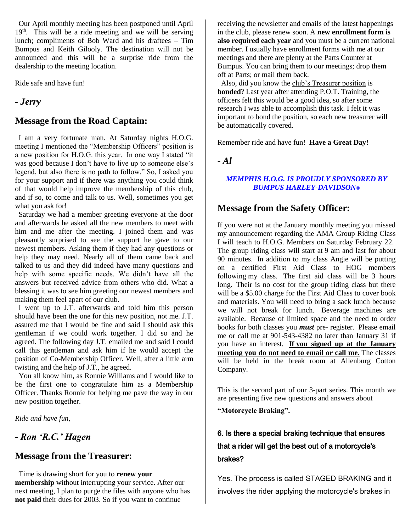Our April monthly meeting has been postponed until April 19<sup>th</sup>. This will be a ride meeting and we will be serving lunch; compliments of Bob Ward and his draftees – Tim Bumpus and Keith Gilooly. The destination will not be announced and this will be a surprise ride from the dealership to the meeting location.

Ride safe and have fun!

### *- Jerry*

### **Message from the Road Captain:**

 I am a very fortunate man. At Saturday nights H.O.G. meeting I mentioned the "Membership Officers" position is a new position for H.O.G. this year. In one way I stated "it was good because I don't have to live up to someone else's legend, but also there is no path to follow." So, I asked you for your support and if there was anything you could think of that would help improve the membership of this club, and if so, to come and talk to us. Well, sometimes you get what you ask for!

 Saturday we had a member greeting everyone at the door and afterwards he asked all the new members to meet with him and me after the meeting. I joined them and was pleasantly surprised to see the support he gave to our newest members. Asking them if they had any questions or help they may need. Nearly all of them came back and talked to us and they did indeed have many questions and help with some specific needs. We didn't have all the answers but received advice from others who did. What a blessing it was to see him greeting our newest members and making them feel apart of our club.

 I went up to J.T. afterwards and told him this person should have been the one for this new position, not me. J.T. assured me that I would be fine and said I should ask this gentleman if we could work together. I did so and he agreed. The following day J.T. emailed me and said I could call this gentleman and ask him if he would accept the position of Co-Membership Officer. Well, after a little arm twisting and the help of J.T., he agreed.

 You all know him, as Ronnie Williams and I would like to be the first one to congratulate him as a Membership Officer. Thanks Ronnie for helping me pave the way in our new position together.

*Ride and have fun,*

## *- Ron 'R.C.' Hagen*

### **Message from the Treasurer:**

 Time is drawing short for you to **renew your membership** without interrupting your service. After our next meeting, I plan to purge the files with anyone who has **not paid** their dues for 2003. So if you want to continue

receiving the newsletter and emails of the latest happenings in the club, please renew soon. A **new enrollment form is also required each year** and you must be a current national member. I usually have enrollment forms with me at our meetings and there are plenty at the Parts Counter at Bumpus. You can bring them to our meetings; drop them off at Parts; or mail them back.

 Also, did you know the club's Treasurer position is **bonded**? Last year after attending P.O.T. Training, the officers felt this would be a good idea, so after some research I was able to accomplish this task. I felt it was important to bond the position, so each new treasurer will be automatically covered.

Remember ride and have fun! **Have a Great Day!**

*- Al*

#### *MEMPHIS H.O.G. IS PROUDLY SPONSORED BY BUMPUS HARLEY-DAVIDSON®*

### **Message from the Safety Officer:**

If you were not at the January monthly meeting you missed my announcement regarding the AMA Group Riding Class I will teach to H.O.G. Members on Saturday February 22. The group riding class will start at 9 am and last for about 90 minutes. In addition to my class Angie will be putting on a certified First Aid Class to HOG members following my class. The first aid class will be 3 hours long. Their is no cost for the group riding class but there will be a \$5.00 charge for the First Aid Class to cover book and materials. You will need to bring a sack lunch because we will not break for lunch. Beverage machines are available. Because of limited space and the need to order books for both classes you *must* pre- register. Please email me or call me at 901-543-4382 no later than January 31 if you have an interest. **If you signed up at the January meeting you do not need to email or call me.** The classes will be held in the break room at Allenburg Cotton Company.

This is the second part of our 3-part series. This month we are presenting five new questions and answers about

**"Motorcycle Braking".**

# 6. Is there a special braking technique that ensures that a rider will get the best out of a motorcycle's brakes?

Yes. The process is called STAGED BRAKING and it involves the rider applying the motorcycle's brakes in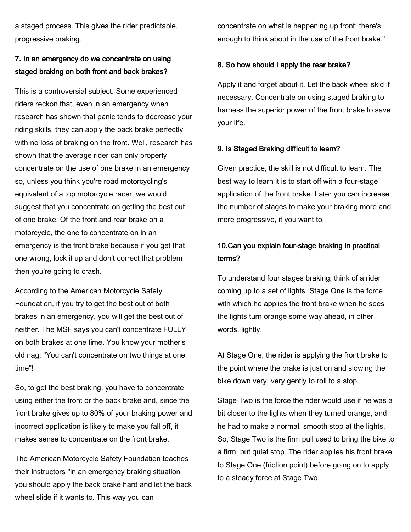a staged process. This gives the rider predictable, progressive braking.

### 7. In an emergency do we concentrate on using staged braking on both front and back brakes?

This is a controversial subject. Some experienced riders reckon that, even in an emergency when research has shown that panic tends to decrease your riding skills, they can apply the back brake perfectly with no loss of braking on the front. Well, research has shown that the average rider can only properly concentrate on the use of one brake in an emergency so, unless you think you're road motorcycling's equivalent of a top motorcycle racer, we would suggest that you concentrate on getting the best out of one brake. Of the front and rear brake on a motorcycle, the one to concentrate on in an emergency is the front brake because if you get that one wrong, lock it up and don't correct that problem then you're going to crash.

According to the American Motorcycle Safety Foundation, if you try to get the best out of both brakes in an emergency, you will get the best out of neither. The MSF says you can't concentrate FULLY on both brakes at one time. You know your mother's old nag; "You can't concentrate on two things at one time"!

So, to get the best braking, you have to concentrate using either the front or the back brake and, since the front brake gives up to 80% of your braking power and incorrect application is likely to make you fall off, it makes sense to concentrate on the front brake.

The American Motorcycle Safety Foundation teaches their instructors "in an emergency braking situation you should apply the back brake hard and let the back wheel slide if it wants to. This way you can

concentrate on what is happening up front; there's enough to think about in the use of the front brake."

#### 8. So how should I apply the rear brake?

Apply it and forget about it. Let the back wheel skid if necessary. Concentrate on using staged braking to harness the superior power of the front brake to save your life.

#### 9. Is Staged Braking difficult to learn?

Given practice, the skill is not difficult to learn. The best way to learn it is to start off with a four-stage application of the front brake. Later you can increase the number of stages to make your braking more and more progressive, if you want to.

### 10.Can you explain four-stage braking in practical terms?

To understand four stages braking, think of a rider coming up to a set of lights. Stage One is the force with which he applies the front brake when he sees the lights turn orange some way ahead, in other words, lightly.

At Stage One, the rider is applying the front brake to the point where the brake is just on and slowing the bike down very, very gently to roll to a stop.

Stage Two is the force the rider would use if he was a bit closer to the lights when they turned orange, and he had to make a normal, smooth stop at the lights. So, Stage Two is the firm pull used to bring the bike to a firm, but quiet stop. The rider applies his front brake to Stage One (friction point) before going on to apply to a steady force at Stage Two.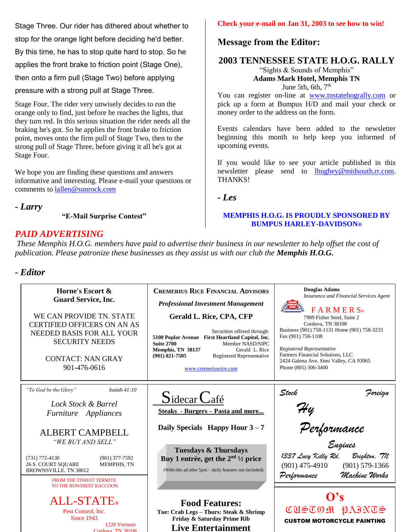Stage Three. Our rider has dithered about whether to stop for the orange light before deciding he'd better. By this time, he has to stop quite hard to stop. So he applies the front brake to friction point (Stage One), then onto a firm pull (Stage Two) before applying pressure with a strong pull at Stage Three.

Stage Four. The rider very unwisely decides to run the orange only to find, just before he reaches the lights, that they turn red. In this serious situation the rider needs all the braking he's got. So he applies the front brake to friction point, moves onto the firm pull of Stage Two, then to the strong pull of Stage Three, before giving it all he's got at Stage Four.

We hope you are finding these questions and answers informative and interesting. Please e-mail your questions or comments to [lallen@sunrock.com](mailto:lallen@sunrock.com)

*- Larry*

**"E-Mail Surprise Contest"**

Cordova, TN 38108

## *PAID ADVERTISING*

#### **Check your e-mail on Jan 31, 2003 to see how to win!**

### **Message from the Editor:**

### **2003 TENNESSEE STATE H.O.G. RALLY**

"Sights & Sounds of Memphis" **Adams Mark Hotel, Memphis TN** June 5th, 6th,  $7<sup>th</sup>$ 

You can register on-line at [www.tnstatehogrally.com](http://www.tnstatehogrally.com/) or pick up a form at Bumpus H/D and mail your check or money order to the address on the form.

Events calendars have been added to the newsletter beginning this month to help keep you informed of upcoming events.

If you would like to see your article published in this newsletter please send to [lhughey@midsouth.rr.com.](mailto:lhughey@midsouth.rr.com) THANKS!

*- Les*

#### **MEMPHIS H.O.G. IS PROUDLY SPONSORED BY BUMPUS HARLEY-DAVIDSON®**

*These Memphis H.O.G. members have paid to advertise their business in our newsletter to help offset the cost of publication. Please patronize these businesses as they assist us with our club the Memphis H.O.G.*

### *- Editor*

| Horne's Escort &<br><b>Guard Service, Inc.</b><br>WE CAN PROVIDE TN. STATE<br><b>CERTIFIED OFFICERS ON AN AS</b><br>NEEDED BASIS FOR ALL YOUR<br><b>SECURITY NEEDS</b><br><b>CONTACT: NAN GRAY</b><br>901-476-0616                                        | <b>CREMERIUS RICE FINANCIAL ADVISORS</b><br><b>Professional Investment Management</b><br>Gerald L. Rice, CPA, CFP<br>Securities offered through:<br>5100 Poplar Avenue First Heartland Capital, Inc.<br>Member NASD/SIPC<br><b>Suite 2700</b><br>Memphis, TN 38137<br>Gerald L. Rice<br>$(901) 821 - 7505$<br>Registered Representative<br>www.cremeriusrice.com | <b>Douglas Adams</b><br>Insurance and Financial Services Agent<br><b>FARMERS</b><br>7989 Fisher Steel, Suite 2<br>Cordova, TN 38108<br>Business (901) 758-1131 Home (901) 758-3233<br>Fax (901) 758-1108<br>Registered Representative<br>Farmers Financial Solutions, LLC<br>2424 Galena Ave. Simi Valley, CA 93065<br>Phone (805) 306-3400 |  |  |
|-----------------------------------------------------------------------------------------------------------------------------------------------------------------------------------------------------------------------------------------------------------|------------------------------------------------------------------------------------------------------------------------------------------------------------------------------------------------------------------------------------------------------------------------------------------------------------------------------------------------------------------|---------------------------------------------------------------------------------------------------------------------------------------------------------------------------------------------------------------------------------------------------------------------------------------------------------------------------------------------|--|--|
| "To God be the Glory"<br>Isaiah $41:10$<br>Lock Stock & Barrel<br>Furniture Appliances<br><b>ALBERT CAMPBELL</b><br>"WE BUY AND SELL"<br>$(731)$ 772-4130<br>$(901)$ 377-7592<br>MEMPHIS, TN<br><b>26 S. COURT SQUARE</b><br><b>BROWNSVILLE, TN 38012</b> | $S_1$ idecar $C_4$ fé<br><b>Steaks</b> - Burgers - Pasta and more<br>Daily Specials Happy Hour $3-7$<br><b>Tuesdays &amp; Thursdays</b><br>Buy 1 entrée, get the $2nd$ $\frac{1}{2}$ price<br>(With this ad after 5pm – daily features not included)                                                                                                             | Stock<br>Foreign<br>Hy<br>Performance<br><sub>Engines</sub><br>1337 Lucy Kelly Rd.<br>Brighton, TN<br>$(901)$ 475-4910<br>$(901) 579 - 1366$<br>Machine Works<br>Performance                                                                                                                                                                |  |  |
| <b>FROM THE TINIEST TERMITE</b><br>TO THE ROWDIEST RACCOON<br><b>ALL-STATE</b> ®<br>Pest Control. Inc.<br>Since 1943<br>1220 Vermeer<br>$C_{\alpha r}$ <sub>dova</sub> TN 38108                                                                           | <b>Food Features:</b><br>Tue: Crab Legs - Thurs: Steak & Shrimp<br>Friday & Saturday Prime Rib<br><b>Live Entertainment</b>                                                                                                                                                                                                                                      | O's<br><b>CURLAQ MODEDD</b><br><b>CUSTOM MOTORCYCLE PAINTING</b>                                                                                                                                                                                                                                                                            |  |  |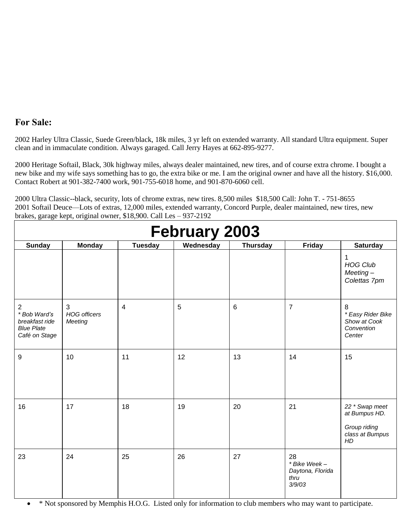### **For Sale:**

2002 Harley Ultra Classic, Suede Green/black, 18k miles, 3 yr left on extended warranty. All standard Ultra equipment. Super clean and in immaculate condition. Always garaged. Call Jerry Hayes at 662-895-9277.

2000 Heritage Softail, Black, 30k highway miles, always dealer maintained, new tires, and of course extra chrome. I bought a new bike and my wife says something has to go, the extra bike or me. I am the original owner and have all the history. \$16,000. Contact Robert at 901-382-7400 work, 901-755-6018 home, and 901-870-6060 cell.

brakes, garage kept, original owner, \$18,900. Call Les – 937-2192 **February 2003 Sunday Monday Tuesday Wednesday Thursday Friday Saturday** 1 *HOG Club Meeting – Colettas 7pm* 2 *\* Bob Ward's breakfast ride Blue Plate Café on Stage* 3 *HOG officers Meeting* 4 | 5 | 6 | 7 | 8 *\* Easy Rider Bike Show at Cook Convention Center* 9 | 10 | 11 | 12 | 13 | 14 | 15

16 17 18 19 20 21 *22 \* Swap meet* 

*at Bumpus HD.*

*Group riding class at Bumpus* 

*HD*

*\* Bike Week – Daytona, Florida* 

*thru 3/9/03*

2000 Ultra Classic--black, security, lots of chrome extras, new tires. 8,500 miles \$18,500 Call: John T. - 751-8655 2001 Softail Deuce—Lots of extras, 12,000 miles, extended warranty, Concord Purple, dealer maintained, new tires, new

\* Not sponsored by Memphis H.O.G. Listed only for information to club members who may want to participate.

23 24 25 26 27 28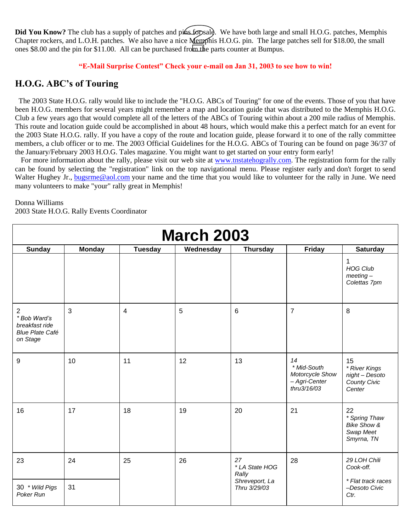**Did You Know?** The club has a supply of patches and pins for sale. We have both large and small H.O.G. patches, Memphis Chapter rockers, and L.O.H. patches. We also have a nice Memphis H.O.G. pin. The large patches sell for \$18.00, the small ones \$8.00 and the pin for \$11.00. All can be purchased from the parts counter at Bumpus.

#### **"E-Mail Surprise Contest" Check your e-mail on Jan 31, 2003 to see how to win!**

#### **H.O.G. ABC's of Touring**

 The 2003 State H.O.G. rally would like to include the "H.O.G. ABCs of Touring" for one of the events. Those of you that have been H.O.G. members for several years might remember a map and location guide that was distributed to the Memphis H.O.G. Club a few years ago that would complete all of the letters of the ABCs of Touring within about a 200 mile radius of Memphis. This route and location guide could be accomplished in about 48 hours, which would make this a perfect match for an event for the 2003 State H.O.G. rally. If you have a copy of the route and location guide, please forward it to one of the rally committee members, a club officer or to me. The 2003 Official Guidelines for the H.O.G. ABCs of Touring can be found on page 36/37 of the January/February 2003 H.O.G. Tales magazine. You might want to get started on your entry form early!

For more information about the rally, please visit our web site at [www.tnstatehogrally.com.](http://www.tnstatehogrally.com/) The registration form for the rally can be found by selecting the "registration" link on the top navigational menu. Please register early and don't forget to send Walter Hughey Jr., [bugsrme@aol.com](mailto:bugsrme@aol.com) your name and the time that you would like to volunteer for the rally in June. We need many volunteers to make "your" rally great in Memphis!

#### Donna Williams

2003 State H.O.G. Rally Events Coordinator

| <b>March 2003</b>                                                         |               |                |           |                                |                                                                      |                                                                          |
|---------------------------------------------------------------------------|---------------|----------------|-----------|--------------------------------|----------------------------------------------------------------------|--------------------------------------------------------------------------|
| <b>Sunday</b>                                                             | <b>Monday</b> | <b>Tuesday</b> | Wednesday | <b>Thursday</b>                | Friday                                                               | <b>Saturday</b>                                                          |
|                                                                           |               |                |           |                                |                                                                      | 1<br><b>HOG Club</b><br>$meeting-$<br>Colettas 7pm                       |
| 2<br>* Bob Ward's<br>breakfast ride<br><b>Blue Plate Café</b><br>on Stage | 3             | $\overline{4}$ | 5         | 6                              | $\overline{7}$                                                       | 8                                                                        |
| 9                                                                         | 10            | 11             | 12        | 13                             | 14<br>* Mid-South<br>Motorcycle Show<br>- Agri-Center<br>thru3/16/03 | 15<br>* River Kings<br>night - Desoto<br>County Civic<br>Center          |
| 16                                                                        | 17            | 18             | 19        | 20                             | 21                                                                   | 22<br>* Spring Thaw<br><b>Bike Show &amp;</b><br>Swap Meet<br>Smyrna, TN |
| 23                                                                        | 24            | 25             | 26        | 27<br>* LA State HOG<br>Rally  | 28                                                                   | 29 LOH Chili<br>Cook-off.                                                |
| 30 * Wild Pigs<br>Poker Run                                               | 31            |                |           | Shreveport, La<br>Thru 3/29/03 |                                                                      | * Flat track races<br>-Desoto Civic<br>Ctr.                              |